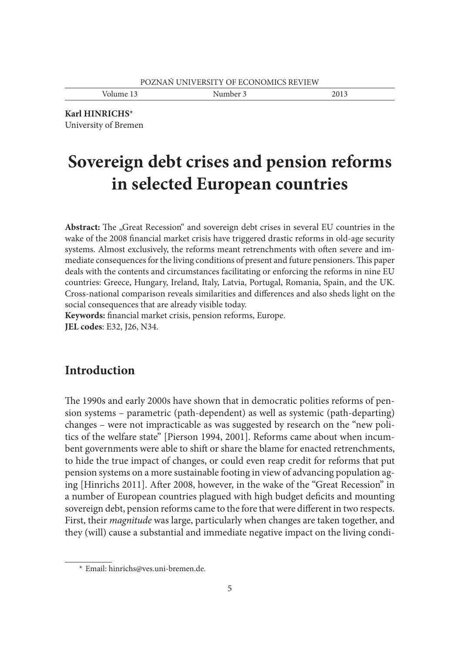Volume 13 Number 3 2013

**Karl HINRICHS**\* University of Bremen

# **Sovereign debt crises and pension reforms in selected European countries**

Abstract: The "Great Recession" and sovereign debt crises in several EU countries in the wake of the 2008 financial market crisis have triggered drastic reforms in old-age security systems. Almost exclusively, the reforms meant retrenchments with often severe and immediate consequences for the living conditions of present and future pensioners. This paper deals with the contents and circumstances facilitating or enforcing the reforms in nine EU countries: Greece, Hungary, Ireland, Italy, Latvia, Portugal, Romania, Spain, and the UK. Cross-national comparison reveals similarities and differences and also sheds light on the social consequences that are already visible today.

Keywords: financial market crisis, pension reforms, Europe. **JEL codes**: E32, J26, N34.

# **Introduction**

The 1990s and early 2000s have shown that in democratic polities reforms of pension systems – parametric (path-dependent) as well as systemic (path-departing) changes – were not impracticable as was suggested by research on the "new politics of the welfare state" [Pierson 1994, 2001]. Reforms came about when incumbent governments were able to shift or share the blame for enacted retrenchments, to hide the true impact of changes, or could even reap credit for reforms that put pension systems on a more sustainable footing in view of advancing population aging [Hinrichs 2011]. After 2008, however, in the wake of the "Great Recession" in a number of European countries plagued with high budget deficits and mounting sovereign debt, pension reforms came to the fore that were different in two respects. First, their *magnitude* was large, particularly when changes are taken together, and they (will) cause a substantial and immediate negative impact on the living condi-

 <sup>\*</sup> Email: hinrichs@ves.uni-bremen.de.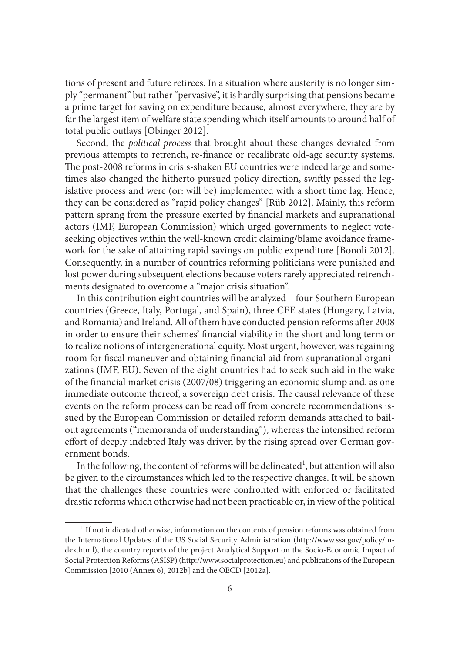tions of present and future retirees. In a situation where austerity is no longer simply "permanent" but rather "pervasive", it is hardly surprising that pensions became a prime target for saving on expenditure because, almost everywhere, they are by far the largest item of welfare state spending which itself amounts to around half of total public outlays [Obinger 2012].

Second, the *political process* that brought about these changes deviated from previous attempts to retrench, re-finance or recalibrate old-age security systems. The post-2008 reforms in crisis-shaken EU countries were indeed large and sometimes also changed the hitherto pursued policy direction, swiftly passed the legislative process and were (or: will be) implemented with a short time lag. Hence, they can be considered as "rapid policy changes" [Rüb 2012]. Mainly, this reform pattern sprang from the pressure exerted by financial markets and supranational actors (IMF, European Commission) which urged governments to neglect voteseeking objectives within the well-known credit claiming/blame avoidance framework for the sake of attaining rapid savings on public expenditure [Bonoli 2012]. Consequently, in a number of countries reforming politicians were punished and lost power during subsequent elections because voters rarely appreciated retrenchments designated to overcome a "major crisis situation".

In this contribution eight countries will be analyzed – four Southern European countries (Greece, Italy, Portugal, and Spain), three CEE states (Hungary, Latvia, and Romania) and Ireland. All of them have conducted pension reforms after 2008 in order to ensure their schemes' financial viability in the short and long term or to realize notions of intergenerational equity. Most urgent, however, was regaining room for fiscal maneuver and obtaining financial aid from supranational organizations (IMF, EU). Seven of the eight countries had to seek such aid in the wake of the financial market crisis (2007/08) triggering an economic slump and, as one immediate outcome thereof, a sovereign debt crisis. The causal relevance of these events on the reform process can be read off from concrete recommendations issued by the European Commission or detailed reform demands attached to bailout agreements ("memoranda of understanding"), whereas the intensified reform effort of deeply indebted Italy was driven by the rising spread over German government bonds.

In the following, the content of reforms will be delineated<sup>1</sup>, but attention will also be given to the circumstances which led to the respective changes. It will be shown that the challenges these countries were confronted with enforced or facilitated drastic reforms which otherwise had not been practicable or, in view of the political

<sup>&</sup>lt;sup>1</sup> If not indicated otherwise, information on the contents of pension reforms was obtained from the International Updates of the US Social Security Administration (http://www.ssa.gov/policy/index.html), the country reports of the project Analytical Support on the Socio-Economic Impact of Social Protection Reforms (ASISP) (http://www.socialprotection.eu) and publications of the European Commission [2010 (Annex 6), 2012b] and the OECD [2012a].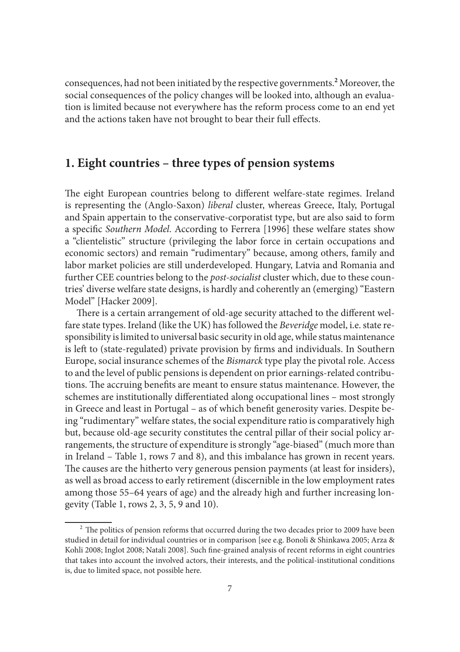consequences, had not been initiated by the respective governments.**<sup>2</sup>** Moreover, the social consequences of the policy changes will be looked into, although an evaluation is limited because not everywhere has the reform process come to an end yet and the actions taken have not brought to bear their full effects.

## **1. Eight countries – three types of pension systems**

The eight European countries belong to different welfare-state regimes. Ireland is representing the (Anglo-Saxon) *liberal* cluster, whereas Greece, Italy, Portugal and Spain appertain to the conservative-corporatist type, but are also said to form a specific *Southern Model*. According to Ferrera [1996] these welfare states show a "clientelistic" structure (privileging the labor force in certain occupations and economic sectors) and remain "rudimentary" because, among others, family and labor market policies are still underdeveloped. Hungary, Latvia and Romania and further CEE countries belong to the *post-socialist* cluster which, due to these countries' diverse welfare state designs, is hardly and coherently an (emerging) "Eastern Model" [Hacker 2009].

There is a certain arrangement of old-age security attached to the different welfare state types. Ireland (like the UK) has followed the *Beveridge* model, i.e. state responsibility is limited to universal basic security in old age, while status maintenance is left to (state-regulated) private provision by firms and individuals. In Southern Europe, social insurance schemes of the *Bismarck* type play the pivotal role. Access to and the level of public pensions is dependent on prior earnings-related contributions. The accruing benefits are meant to ensure status maintenance. However, the schemes are institutionally differentiated along occupational lines – most strongly in Greece and least in Portugal – as of which benefit generosity varies. Despite being "rudimentary" welfare states, the social expenditure ratio is comparatively high but, because old-age security constitutes the central pillar of their social policy arrangements, the structure of expenditure is strongly "age-biased" (much more than in Ireland – Table 1, rows 7 and 8), and this imbalance has grown in recent years. The causes are the hitherto very generous pension payments (at least for insiders), as well as broad access to early retirement (discernible in the low employment rates among those 55–64 years of age) and the already high and further increasing longevity (Table 1, rows 2, 3, 5, 9 and 10).

 $2$  The politics of pension reforms that occurred during the two decades prior to 2009 have been studied in detail for individual countries or in comparison [see e.g. Bonoli & Shinkawa 2005; Arza & Kohli 2008; Inglot 2008; Natali 2008]. Such fine-grained analysis of recent reforms in eight countries that takes into account the involved actors, their interests, and the political-institutional conditions is, due to limited space, not possible here.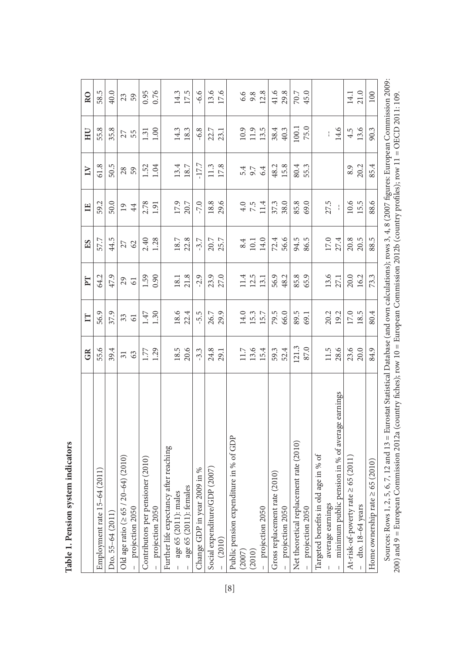|                                                                                | GR              | $\mathbb{H}$    | $\Gamma$ | ES     | $\mathbf{H}$    | $\overline{\mathbf{L}}$ | HЦ     | R <sub>O</sub> |
|--------------------------------------------------------------------------------|-----------------|-----------------|----------|--------|-----------------|-------------------------|--------|----------------|
| Employment rate 15-64 (2011)                                                   | 55.6            | 56.9            | 64.2     | 57.7   | 59.2            | 61.8                    | 55.8   | 58.5           |
| Dto. 55-64 (2011)                                                              | 39.4            | 37.9            | 47.9     | 44.5   | 50.0            | 50.5                    | 35.8   | 40.0           |
| Old age ratio ( $\geq 65$ / 20-64) (2010)                                      | $\overline{31}$ | 33              | 29       | 27     | $\overline{19}$ | 28                      | 27     | 23             |
| projection 2050                                                                | 63              | $\overline{61}$ | 61       | 62     | 44              | 59                      | 55     | 59             |
| Contributors per pensioner (2010)                                              | 1.77            | 1.47            | 1.59     | 2.40   | 2.78            | 1.52                    | 1.31   | 0.95           |
| projection 2050                                                                | 1.29            | 1.30            | 0.90     | 1.28   | 1.91            | 1.04                    | 1.00   | 0.76           |
| after reaching<br>Further life expectancy                                      |                 |                 |          |        |                 |                         |        |                |
| $-$ age 65 (2011): males                                                       | 18.5            | 18.6            | 18.1     | 18.7   | 17.9            | 13.4                    | 14.3   | 14.3           |
| age 65 (2011): females                                                         | 20.6            | 22.4            | 21.8     | 22.8   | 20.7            | 18.7                    | 18.3   | 17.5           |
| Change GDP in year 2009 in %                                                   | $-3.3$          | $-5.5$          | $-2.9$   | $-3.7$ | $-7.0$          | $-17.7$                 | $-6.8$ | $-6.6$         |
| Social expenditure/GDP (2007)<br>- (2010)                                      | 24.8            | 26.7            | 23.9     | 20.7   | 18.8            | 11.3                    | 22.7   | 13.6           |
|                                                                                | 29.1            | 29.9            | 27.0     | 25.7   | 29.6            | 17.8                    | 23.1   | 17.6           |
| Public pension expenditure in % of GDP                                         |                 |                 |          |        |                 |                         |        |                |
| $(2007)$<br>$(2010)$                                                           | 11.7            | 14.0            | 11.4     | 8.4    | 4.0             | 5.4                     | 10.9   | 6.6            |
|                                                                                | 13.6            | 15.3            | 12.5     | 10.1   | 7.5             | 9.7                     | 11.9   | 9.8            |
| projection 2050                                                                | 15.4            | 15.7            | 13.1     | 14.0   | 11.4            | 6.4                     | 13.5   | 12.8           |
| (2010)<br>Gross replacement rate                                               | 59.3            | 79.5            | 56.9     | 72.4   | 37.3            | 48.2                    | 38.4   | 41.6           |
| projection 2050                                                                | 52.4            | 66.0            | 48.2     | 56.6   | 38.0            | 15.8                    | 40.3   | 29.8           |
| Net theoretical replacement rate (2010)                                        | 121.3           | 89.5            | 85.8     | 94.5   | 85.8            | 80.4                    | 100.1  | 70.7           |
| projection 2050                                                                | 87.0            | 69.1            | 65.9     | 86.5   | 69.0            | 55.3                    | 75.0   | 45.0           |
| age in % of<br>Targeted benefits in old                                        |                 |                 |          |        |                 |                         |        |                |
|                                                                                | 11.5            | 20.2            | 13.6     | 17.0   | 27.5            |                         |        |                |
| average earnings $$\rm minmin$ in $\%$ of average earnings $$\rm minminminmin$ | 28.6            | 19.2            | 27.1     | 27.4   | $\frac{1}{4}$   |                         | 14.6   |                |
| At-risk-of-poverty rate $\geq 65~(2011)$                                       | 23.6<br>20.0    | 17.0            | 20.0     | 20.8   | 10.6            | 8.9                     | 4.5    | 14.1           |
| $-$ dto. 18-64 years                                                           |                 | 18.5            | 16.2     | 20.5   | 15.5            | 20.2                    | 13.6   | 21.0           |
| 65 (2010)<br>Home ownership rate 2                                             | 84.9            | 80.4            | 73.3     | 88.5   | 88.6            | 85.4                    | 90.3   | 100            |

Table 1. Pension system indicators **Table 1. Pension system indicators** Sources: Rows 1, 2, 5, 6, 7, 12 and 13 = Eurostat Statistical Database (and own calculations); rows 3, 4, 8 (2007 figures: European Commission 2009:<br>200) and 9 = European Commission 2012a (country fiches); row 10 = Europe Sources: Rows 1, 2, 5, 6, 7, 12 and 13 = Eurostat Statistical Database (and own calculations); rows 3, 4, 8 (2007 figures: European Commission 2009: 200) and 9 = European Commission 2012a (country fi ches); row 10 = European Commission 2012b (country profi les); row 11 = OECD 2011: 109.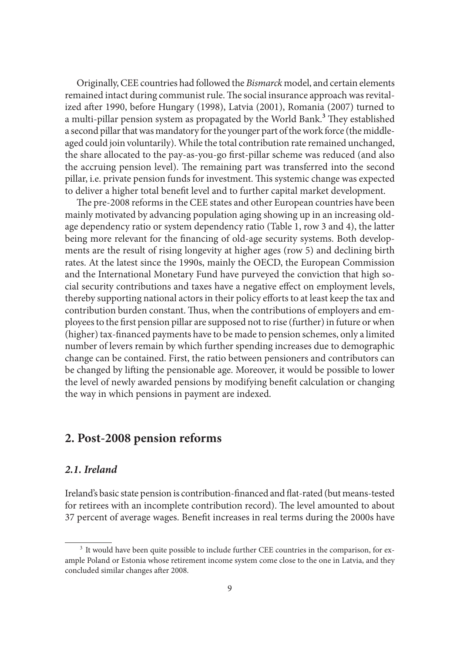Originally, CEE countries had followed the *Bismarck* model, and certain elements remained intact during communist rule. The social insurance approach was revitalized after 1990, before Hungary (1998), Latvia (2001), Romania (2007) turned to a multi-pillar pension system as propagated by the World Bank.<sup>3</sup> They established a second pillar that was mandatory for the younger part of the work force (the middleaged could join voluntarily). While the total contribution rate remained unchanged, the share allocated to the pay-as-you-go first-pillar scheme was reduced (and also the accruing pension level). The remaining part was transferred into the second pillar, i.e. private pension funds for investment. This systemic change was expected to deliver a higher total benefit level and to further capital market development.

The pre-2008 reforms in the CEE states and other European countries have been mainly motivated by advancing population aging showing up in an increasing oldage dependency ratio or system dependency ratio (Table 1, row 3 and 4), the latter being more relevant for the financing of old-age security systems. Both developments are the result of rising longevity at higher ages (row 5) and declining birth rates. At the latest since the 1990s, mainly the OECD, the European Commission and the International Monetary Fund have purveyed the conviction that high social security contributions and taxes have a negative effect on employment levels, thereby supporting national actors in their policy efforts to at least keep the tax and contribution burden constant. Thus, when the contributions of employers and employees to the first pension pillar are supposed not to rise (further) in future or when (higher) tax-financed payments have to be made to pension schemes, only a limited number of levers remain by which further spending increases due to demographic change can be contained. First, the ratio between pensioners and contributors can be changed by lifting the pensionable age. Moreover, it would be possible to lower the level of newly awarded pensions by modifying benefit calculation or changing the way in which pensions in payment are indexed.

## **2. Post-2008 pension reforms**

#### *2.1. Ireland*

Ireland's basic state pension is contribution-financed and flat-rated (but means-tested for retirees with an incomplete contribution record). The level amounted to about 37 percent of average wages. Benefit increases in real terms during the 2000s have

<sup>&</sup>lt;sup>3</sup> It would have been quite possible to include further CEE countries in the comparison, for example Poland or Estonia whose retirement income system come close to the one in Latvia, and they concluded similar changes after 2008.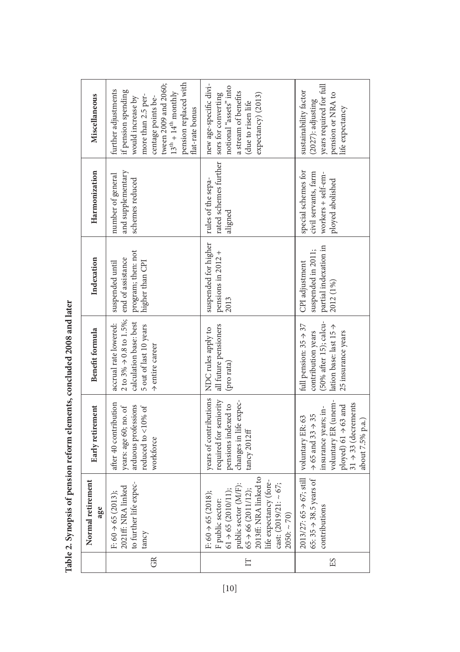| Indexation<br>Benefit formula<br>Early retirement<br>Normal retirement<br>age                                                                                                                                                                                                                                                                                                                                                                                                                                           |  |                                              | Harmonization                                                                         | Miscellaneous                                                                                                                                                                                                                |
|-------------------------------------------------------------------------------------------------------------------------------------------------------------------------------------------------------------------------------------------------------------------------------------------------------------------------------------------------------------------------------------------------------------------------------------------------------------------------------------------------------------------------|--|----------------------------------------------|---------------------------------------------------------------------------------------|------------------------------------------------------------------------------------------------------------------------------------------------------------------------------------------------------------------------------|
| program; then: not<br>end of assistance<br>higher than CPI<br>suspended until<br>2 to 3% $\Rightarrow$ 0.8 to 1.5%;<br>calculation base: best<br>accrual rate lowered:<br>5 out of last 10 years<br>$\rightarrow$ entire career<br>after 40 contribution<br>arduous professions<br>reduced to <10% of<br>years: age 60; no. of<br>workforce<br>to further life expec-<br>$\begin{array}{l} \mbox{F: } 60 \Rightarrow 65 \;(2013); \\ \mbox{2021ff: NRA linked} \end{array}$<br>tancy                                    |  |                                              | and supplementary<br>number of general<br>schemes reduced                             | pension replaced with<br>tween 2009 and 2060;<br>further adjustments<br>if pension spending<br>$13^{\text{th}} + 14^{\text{th}}$ monthly<br>more than 2.5 per-<br>would increase by<br>centage points be-<br>flat-rate bonus |
| 2013<br>all future pensioners<br>years of contributions   NDC rules apply to<br>(pro rata)<br>required for seniority<br>changes in life expec-<br>pensions indexed to<br>$\text{tancy } 2012 \text{ff}$<br>public sector $(M/F)$ :<br>$65 \rightarrow 66 (2011/12);$<br>$2013$ ff. NRA linked to<br>life expectancy (fore-<br>57;<br>F public sector:<br>$61 \rightarrow 65 (2010/11);$<br>$F: 60 \rightarrow 65 (2018);$<br>$\begin{cases}\n\text{cast:} (\text{2019/21:} \sim 6)\n\text{2050:} \sim 70)\n\end{cases}$ |  | suspended for higher<br>pensions in $2012 +$ | rated schemes further<br>rules of the sepa-<br>aligned                                | new age-specific divi-<br>notional "assets" into<br>a stream of benefits<br>expectancy) (2013)<br>sors for converting<br>(due to risen life                                                                                  |
| CPI adjustment<br>2012 (1%)<br>(50% after 15); calcu-<br>full pension: $35 \div 37$<br>lation base: last 15 →<br>contribution years<br>25 insurance years<br>voluntary ER (unem-<br>$31 \rightarrow 33$ (decrements<br>ployed) $61 \rightarrow 63$ and<br>insurance years; in-<br>$\rightarrow$ 65 and 33 $\rightarrow$ 35<br>voluntary ER: 63<br>about 7.5% p.a.)<br>$2013/27: 65 \rightarrow 67; \text{still}$<br>65: $35 \rightarrow 38.5$ years of<br>contributions                                                 |  | partial indexation in<br>suspended in 2011;  | special schemes for<br>civil servants, farm<br>workers + self-em-<br>ployed abolished | years required for full<br>sustainability factor<br>pension or NRA to<br>$(2027)$ : adjusting<br>life expectancy                                                                                                             |

| i                                                                                                                                                                                                                                    |
|--------------------------------------------------------------------------------------------------------------------------------------------------------------------------------------------------------------------------------------|
|                                                                                                                                                                                                                                      |
|                                                                                                                                                                                                                                      |
|                                                                                                                                                                                                                                      |
| へんきょう                                                                                                                                                                                                                                |
|                                                                                                                                                                                                                                      |
|                                                                                                                                                                                                                                      |
|                                                                                                                                                                                                                                      |
|                                                                                                                                                                                                                                      |
|                                                                                                                                                                                                                                      |
| <b>CONTACT AND IN THE UP OF THE UP OF THE UP OF THE UP OF THE UP OF THE UP OF THE UP OF THE UP OF THE UP OF THE UP OF THE UP OF THE UP OF THE UP OF THE UP OF THE UP OF THE UP OF THE UP OF THE UP OF THE UP OF THE UP OF THE UP</b> |
|                                                                                                                                                                                                                                      |
| ؙ۫                                                                                                                                                                                                                                   |
|                                                                                                                                                                                                                                      |
|                                                                                                                                                                                                                                      |
|                                                                                                                                                                                                                                      |
|                                                                                                                                                                                                                                      |
|                                                                                                                                                                                                                                      |
|                                                                                                                                                                                                                                      |
|                                                                                                                                                                                                                                      |
|                                                                                                                                                                                                                                      |
| ١                                                                                                                                                                                                                                    |
| くちょうしゃくち ちょくしくちょく ちゅく こっちょう                                                                                                                                                                                                          |
|                                                                                                                                                                                                                                      |
|                                                                                                                                                                                                                                      |
| í                                                                                                                                                                                                                                    |
|                                                                                                                                                                                                                                      |
| is an interesting of the control of the control of the control of the control of the control of the control of                                                                                                                       |
|                                                                                                                                                                                                                                      |
|                                                                                                                                                                                                                                      |
|                                                                                                                                                                                                                                      |
|                                                                                                                                                                                                                                      |
| .<br>I                                                                                                                                                                                                                               |
|                                                                                                                                                                                                                                      |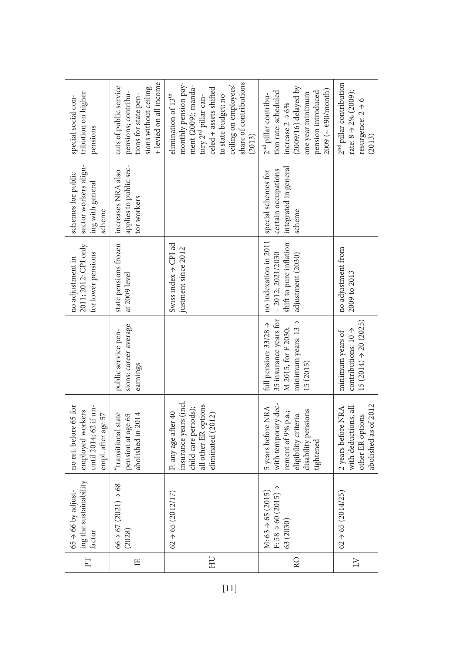| $\boxed{\phantom{1}}$ | ing the sustainability<br>$65 \div 66$ by adjust<br>factor                | no ret. before 65 for<br>until 2014; 62 if un-<br>employed workers<br>empl. after age 57                                    |                                                                                                                                    | 2011; 2012: CPI only<br>for lower pensions<br>no adjustment in                              | sector workers align-<br>schemes for public<br>ing with general<br>scheme     | tribution on higher<br>special social con-<br>pensions                                                                                                                                                                        |
|-----------------------|---------------------------------------------------------------------------|-----------------------------------------------------------------------------------------------------------------------------|------------------------------------------------------------------------------------------------------------------------------------|---------------------------------------------------------------------------------------------|-------------------------------------------------------------------------------|-------------------------------------------------------------------------------------------------------------------------------------------------------------------------------------------------------------------------------|
| $\Xi$                 | 68<br>$66 + 67 (2021) \rightarrow$<br>(2028)                              | "transitional state<br>abolished in 2014<br>pension at age 65                                                               | sions: career average<br>public service pen-<br>earnings                                                                           | state pensions frozen<br>at 2009 level                                                      | applies to public sec-<br>increases NRA also<br>tor workers                   | + levied on all income<br>cuts of public service<br>sions without ceiling<br>pensions; contribu-<br>tions for state pen-                                                                                                      |
| ЭH                    | $62 \div 65 (2012/17)$                                                    | insurance years (incl.<br>all other ER options<br>child care periods);<br>F: any age after 40<br>eliminated (2012)          |                                                                                                                                    | Swiss index $\rightarrow$ CPI ad-<br>justment since 2012                                    |                                                                               | share of contributions<br>monthly pension pay-<br>ment (2009); manda-<br>ceiling on employees'<br>celed + assets shifted<br>elimination of 13 <sup>th</sup><br>to state budget; no<br>tory $2^{\rm nd}$ pillar can-<br>(2013) |
| R <sub>O</sub>        | ↑<br>M: $63 \div 65 (2015)$<br>F: $58 \rightarrow 60 (2015)$<br>63 (2030) | with temporary dec-<br>5 years before NRA<br>disability pensions<br>rement of 9% p.a.;<br>eligibility criteria<br>tightened | 35 insurance years for<br>minimum years: $13 \rightarrow$<br>full pension: $33/28 \rightarrow$<br>M 2015, for F 2030;<br>15 (2015) | no indexation in 2011<br>shift to pure inflation<br>$+2012; 2021/2030$<br>adjustment (2030) | integrated in general<br>certain occupations<br>special schemes for<br>scheme | $(2009/16)$ delayed by<br>$2009$ ( $\sim$ $690/m$ onth)<br>tion rate: scheduled<br>pension introduced<br>one year minimum<br>2 <sup>nd</sup> pillar contribu-<br>increase $2 \rightarrow 6\%$                                 |
| Σ                     | $62 \rightarrow 65 (2014/25)$                                             | abolished as of 2012<br>with deductions; all<br>2 years before NRA<br>other ER options                                      | $15(2014) \rightarrow 20(2025)$<br>contributions: $10 \rightarrow$<br>minimum years of                                             | no adjustment from<br>2009 to 2013                                                          |                                                                               | 2 <sup>nd</sup> pillar contribution<br>rate: $8 \div 2\%$ (2009);<br>resurgence: $2 \rightarrow 6$<br>(2013)                                                                                                                  |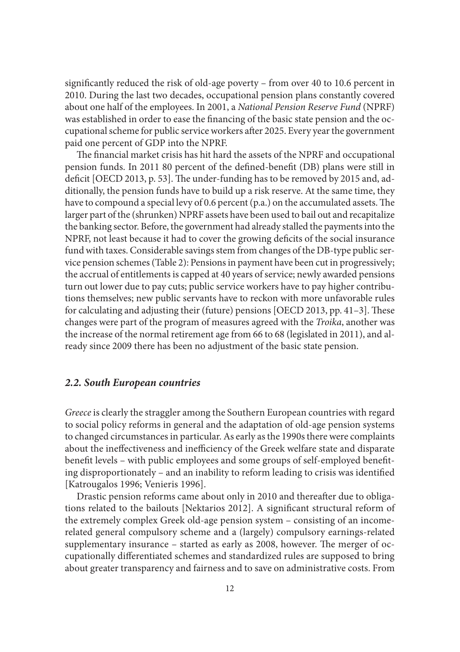significantly reduced the risk of old-age poverty – from over 40 to 10.6 percent in 2010. During the last two decades, occupational pension plans constantly covered about one half of the employees. In 2001, a *National Pension Reserve Fund* (NPRF) was established in order to ease the financing of the basic state pension and the occupational scheme for public service workers after 2025. Every year the government paid one percent of GDP into the NPRF.

The financial market crisis has hit hard the assets of the NPRF and occupational pension funds. In 2011 80 percent of the defined-benefit (DB) plans were still in deficit [OECD 2013, p. 53]. The under-funding has to be removed by 2015 and, additionally, the pension funds have to build up a risk reserve. At the same time, they have to compound a special levy of 0.6 percent  $(p.a.)$  on the accumulated assets. The larger part of the (shrunken) NPRF assets have been used to bail out and recapitalize the banking sector. Before, the government had already stalled the payments into the NPRF, not least because it had to cover the growing deficits of the social insurance fund with taxes. Considerable savings stem from changes of the DB-type public service pension schemes (Table 2): Pensions in payment have been cut in progressively; the accrual of entitlements is capped at 40 years of service; newly awarded pensions turn out lower due to pay cuts; public service workers have to pay higher contributions themselves; new public servants have to reckon with more unfavorable rules for calculating and adjusting their (future) pensions [OECD 2013, pp. 41–3]. These changes were part of the program of measures agreed with the *Troika*, another was the increase of the normal retirement age from 66 to 68 (legislated in 2011), and already since 2009 there has been no adjustment of the basic state pension.

#### *2.2. South European countries*

*Greece* is clearly the straggler among the Southern European countries with regard to social policy reforms in general and the adaptation of old-age pension systems to changed circumstances in particular. As early as the 1990s there were complaints about the ineffectiveness and inefficiency of the Greek welfare state and disparate benefit levels – with public employees and some groups of self-employed benefiting disproportionately – and an inability to reform leading to crisis was identified [Katrougalos 1996; Venieris 1996].

Drastic pension reforms came about only in 2010 and thereafter due to obligations related to the bailouts [Nektarios 2012]. A significant structural reform of the extremely complex Greek old-age pension system – consisting of an incomerelated general compulsory scheme and a (largely) compulsory earnings-related supplementary insurance – started as early as 2008, however. The merger of occupationally differentiated schemes and standardized rules are supposed to bring about greater transparency and fairness and to save on administrative costs. From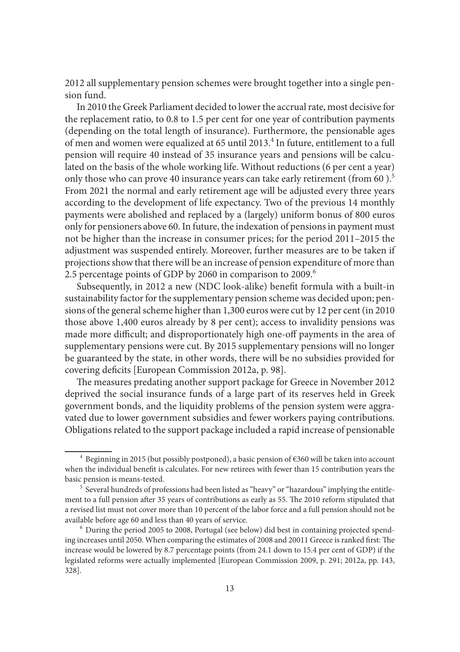2012 all supplementary pension schemes were brought together into a single pension fund.

In 2010 the Greek Parliament decided to lower the accrual rate, most decisive for the replacement ratio, to 0.8 to 1.5 per cent for one year of contribution payments (depending on the total length of insurance). Furthermore, the pensionable ages of men and women were equalized at 65 until 2013.<sup>4</sup> In future, entitlement to a full pension will require 40 instead of 35 insurance years and pensions will be calculated on the basis of the whole working life. Without reductions (6 per cent a year) only those who can prove 40 insurance years can take early retirement (from 60).<sup>5</sup> From 2021 the normal and early retirement age will be adjusted every three years according to the development of life expectancy. Two of the previous 14 monthly payments were abolished and replaced by a (largely) uniform bonus of 800 euros only for pensioners above 60. In future, the indexation of pensions in payment must not be higher than the increase in consumer prices; for the period 2011–2015 the adjustment was suspended entirely. Moreover, further measures are to be taken if projections show that there will be an increase of pension expenditure of more than 2.5 percentage points of GDP by 2060 in comparison to 2009.<sup>6</sup>

Subsequently, in 2012 a new (NDC look-alike) benefit formula with a built-in sustainability factor for the supplementary pension scheme was decided upon; pensions of the general scheme higher than 1,300 euros were cut by 12 per cent (in 2010 those above 1,400 euros already by 8 per cent); access to invalidity pensions was made more difficult; and disproportionately high one-off payments in the area of supplementary pensions were cut. By 2015 supplementary pensions will no longer be guaranteed by the state, in other words, there will be no subsidies provided for covering deficits [European Commission 2012a, p. 98].

The measures predating another support package for Greece in November 2012 deprived the social insurance funds of a large part of its reserves held in Greek government bonds, and the liquidity problems of the pension system were aggravated due to lower government subsidies and fewer workers paying contributions. Obligations related to the support package included a rapid increase of pensionable

<sup>&</sup>lt;sup>4</sup> Beginning in 2015 (but possibly postponed), a basic pension of  $\epsilon$ 360 will be taken into account when the individual benefit is calculates. For new retirees with fewer than 15 contribution years the basic pension is means-tested.<br><sup>5</sup> Several hundreds of professions had been listed as "heavy" or "hazardous" implying the entitle-

ment to a full pension after 35 years of contributions as early as 55. The 2010 reform stipulated that a revised list must not cover more than 10 percent of the labor force and a full pension should not be available before age 60 and less than 40 years of service. 6 During the period 2005 to 2008, Portugal (see below) did best in containing projected spend-

ing increases until 2050. When comparing the estimates of 2008 and 20011 Greece is ranked first: The increase would be lowered by 8.7 percentage points (from 24.1 down to 15.4 per cent of GDP) if the legislated reforms were actually implemented [European Commission 2009, p. 291; 2012a, pp. 143, 328].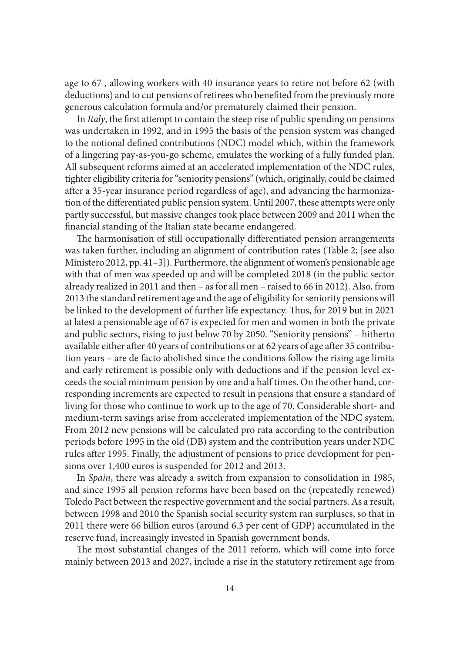age to 67 , allowing workers with 40 insurance years to retire not before 62 (with deductions) and to cut pensions of retirees who benefited from the previously more generous calculation formula and/or prematurely claimed their pension.

In *Italy*, the first attempt to contain the steep rise of public spending on pensions was undertaken in 1992, and in 1995 the basis of the pension system was changed to the notional defined contributions (NDC) model which, within the framework of a lingering pay-as-you-go scheme, emulates the working of a fully funded plan. All subsequent reforms aimed at an accelerated implementation of the NDC rules, tighter eligibility criteria for "seniority pensions" (which, originally, could be claimed after a 35-year insurance period regardless of age), and advancing the harmonization of the differentiated public pension system. Until 2007, these attempts were only partly successful, but massive changes took place between 2009 and 2011 when the financial standing of the Italian state became endangered.

The harmonisation of still occupationally differentiated pension arrangements was taken further, including an alignment of contribution rates (Table 2; [see also Ministero 2012, pp. 41–3]). Furthermore, the alignment of women's pensionable age with that of men was speeded up and will be completed 2018 (in the public sector already realized in 2011 and then – as for all men – raised to 66 in 2012). Also, from 2013 the standard retirement age and the age of eligibility for seniority pensions will be linked to the development of further life expectancy. Thus, for 2019 but in 2021 at latest a pensionable age of 67 is expected for men and women in both the private and public sectors, rising to just below 70 by 2050. "Seniority pensions" – hitherto available either after 40 years of contributions or at 62 years of age after 35 contribution years – are de facto abolished since the conditions follow the rising age limits and early retirement is possible only with deductions and if the pension level exceeds the social minimum pension by one and a half times. On the other hand, corresponding increments are expected to result in pensions that ensure a standard of living for those who continue to work up to the age of 70. Considerable short- and medium-term savings arise from accelerated implementation of the NDC system. From 2012 new pensions will be calculated pro rata according to the contribution periods before 1995 in the old (DB) system and the contribution years under NDC rules after 1995. Finally, the adjustment of pensions to price development for pensions over 1,400 euros is suspended for 2012 and 2013.

In *Spain*, there was already a switch from expansion to consolidation in 1985, and since 1995 all pension reforms have been based on the (repeatedly renewed) Toledo Pact between the respective government and the social partners. As a result, between 1998 and 2010 the Spanish social security system ran surpluses, so that in 2011 there were 66 billion euros (around 6.3 per cent of GDP) accumulated in the reserve fund, increasingly invested in Spanish government bonds.

The most substantial changes of the 2011 reform, which will come into force mainly between 2013 and 2027, include a rise in the statutory retirement age from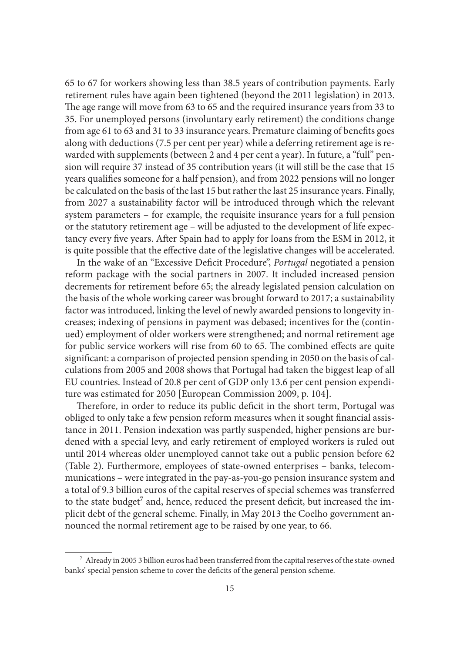65 to 67 for workers showing less than 38.5 years of contribution payments. Early retirement rules have again been tightened (beyond the 2011 legislation) in 2013. The age range will move from 63 to 65 and the required insurance years from 33 to 35. For unemployed persons (involuntary early retirement) the conditions change from age 61 to 63 and 31 to 33 insurance years. Premature claiming of benefits goes along with deductions (7.5 per cent per year) while a deferring retirement age is rewarded with supplements (between 2 and 4 per cent a year). In future, a "full" pension will require 37 instead of 35 contribution years (it will still be the case that 15 years qualifies someone for a half pension), and from 2022 pensions will no longer be calculated on the basis of the last 15 but rather the last 25 insurance years. Finally, from 2027 a sustainability factor will be introduced through which the relevant system parameters – for example, the requisite insurance years for a full pension or the statutory retirement age – will be adjusted to the development of life expectancy every five years. After Spain had to apply for loans from the ESM in 2012, it is quite possible that the effective date of the legislative changes will be accelerated.

In the wake of an "Excessive Deficit Procedure", *Portugal* negotiated a pension reform package with the social partners in 2007. It included increased pension decrements for retirement before 65; the already legislated pension calculation on the basis of the whole working career was brought forward to 2017; a sustainability factor was introduced, linking the level of newly awarded pensions to longevity increases; indexing of pensions in payment was debased; incentives for the (continued) employment of older workers were strengthened; and normal retirement age for public service workers will rise from 60 to 65. The combined effects are quite significant: a comparison of projected pension spending in 2050 on the basis of calculations from 2005 and 2008 shows that Portugal had taken the biggest leap of all EU countries. Instead of 20.8 per cent of GDP only 13.6 per cent pension expenditure was estimated for 2050 [European Commission 2009, p. 104].

Therefore, in order to reduce its public deficit in the short term, Portugal was obliged to only take a few pension reform measures when it sought financial assistance in 2011. Pension indexation was partly suspended, higher pensions are burdened with a special levy, and early retirement of employed workers is ruled out until 2014 whereas older unemployed cannot take out a public pension before 62 (Table 2). Furthermore, employees of state-owned enterprises – banks, telecommunications – were integrated in the pay-as-you-go pension insurance system and a total of 9.3 billion euros of the capital reserves of special schemes was transferred to the state budget<sup>7</sup> and, hence, reduced the present deficit, but increased the implicit debt of the general scheme. Finally, in May 2013 the Coelho government announced the normal retirement age to be raised by one year, to 66.

 $^7\,$  Already in 2005 3 billion euros had been transferred from the capital reserves of the state-owned banks' special pension scheme to cover the deficits of the general pension scheme.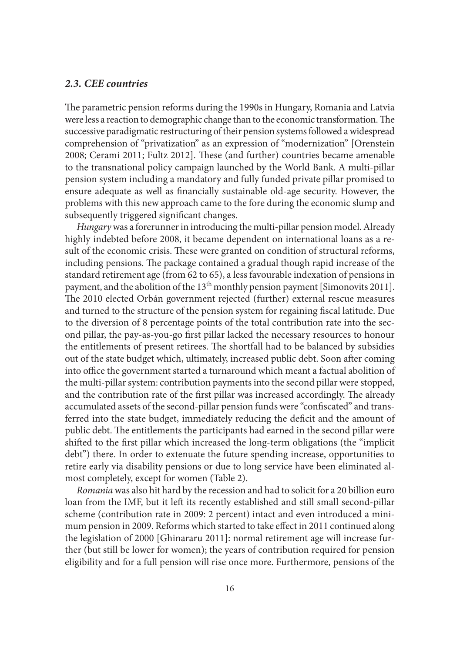#### *2.3. CEE countries*

The parametric pension reforms during the 1990s in Hungary, Romania and Latvia were less a reaction to demographic change than to the economic transformation. The successive paradigmatic restructuring of their pension systems followed a widespread comprehension of "privatization" as an expression of "modernization" [Orenstein 2008; Cerami 2011; Fultz 2012]. These (and further) countries became amenable to the transnational policy campaign launched by the World Bank. A multi-pillar pension system including a mandatory and fully funded private pillar promised to ensure adequate as well as financially sustainable old-age security. However, the problems with this new approach came to the fore during the economic slump and subsequently triggered significant changes.

*Hungary* was a forerunner in introducing the multi-pillar pension model. Already highly indebted before 2008, it became dependent on international loans as a result of the economic crisis. These were granted on condition of structural reforms, including pensions. The package contained a gradual though rapid increase of the standard retirement age (from 62 to 65), a less favourable indexation of pensions in payment, and the abolition of the 13<sup>th</sup> monthly pension payment [Simonovits 2011]. The 2010 elected Orbán government rejected (further) external rescue measures and turned to the structure of the pension system for regaining fiscal latitude. Due to the diversion of 8 percentage points of the total contribution rate into the second pillar, the pay-as-you-go first pillar lacked the necessary resources to honour the entitlements of present retirees. The shortfall had to be balanced by subsidies out of the state budget which, ultimately, increased public debt. Soon after coming into office the government started a turnaround which meant a factual abolition of the multi-pillar system: contribution payments into the second pillar were stopped, and the contribution rate of the first pillar was increased accordingly. The already accumulated assets of the second-pillar pension funds were "confiscated" and transferred into the state budget, immediately reducing the deficit and the amount of public debt. The entitlements the participants had earned in the second pillar were shifted to the first pillar which increased the long-term obligations (the "implicit debt") there. In order to extenuate the future spending increase, opportunities to retire early via disability pensions or due to long service have been eliminated almost completely, except for women (Table 2).

*Romania* was also hit hard by the recession and had to solicit for a 20 billion euro loan from the IMF, but it left its recently established and still small second-pillar scheme (contribution rate in 2009: 2 percent) intact and even introduced a minimum pension in 2009. Reforms which started to take effect in 2011 continued along the legislation of 2000 [Ghinararu 2011]: normal retirement age will increase further (but still be lower for women); the years of contribution required for pension eligibility and for a full pension will rise once more. Furthermore, pensions of the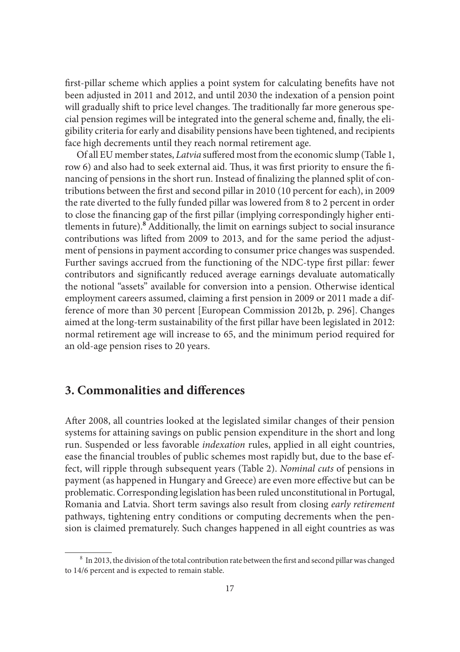first-pillar scheme which applies a point system for calculating benefits have not been adjusted in 2011 and 2012, and until 2030 the indexation of a pension point will gradually shift to price level changes. The traditionally far more generous special pension regimes will be integrated into the general scheme and, finally, the eligibility criteria for early and disability pensions have been tightened, and recipients face high decrements until they reach normal retirement age.

Of all EU member states, *Latvia* suffered most from the economic slump (Table 1, row 6) and also had to seek external aid. Thus, it was first priority to ensure the financing of pensions in the short run. Instead of finalizing the planned split of contributions between the first and second pillar in 2010 (10 percent for each), in 2009 the rate diverted to the fully funded pillar was lowered from 8 to 2 percent in order to close the financing gap of the first pillar (implying correspondingly higher entitlements in future).**<sup>8</sup>** Additionally, the limit on earnings subject to social insurance contributions was lifted from 2009 to 2013, and for the same period the adjustment of pensions in payment according to consumer price changes was suspended. Further savings accrued from the functioning of the NDC-type first pillar: fewer contributors and significantly reduced average earnings devaluate automatically the notional "assets" available for conversion into a pension. Otherwise identical employment careers assumed, claiming a first pension in 2009 or 2011 made a difference of more than 30 percent [European Commission 2012b, p. 296]. Changes aimed at the long-term sustainability of the first pillar have been legislated in 2012: normal retirement age will increase to 65, and the minimum period required for an old-age pension rises to 20 years.

## **3. Commonalities and differences**

After 2008, all countries looked at the legislated similar changes of their pension systems for attaining savings on public pension expenditure in the short and long run. Suspended or less favorable *indexation* rules, applied in all eight countries, ease the financial troubles of public schemes most rapidly but, due to the base effect, will ripple through subsequent years (Table 2). *Nominal cuts* of pensions in payment (as happened in Hungary and Greece) are even more effective but can be problematic. Corresponding legislation has been ruled unconstitutional in Portugal, Romania and Latvia. Short term savings also result from closing *early retirement* pathways, tightening entry conditions or computing decrements when the pension is claimed prematurely. Such changes happened in all eight countries as was

<sup>&</sup>lt;sup>8</sup> In 2013, the division of the total contribution rate between the first and second pillar was changed to 14/6 percent and is expected to remain stable.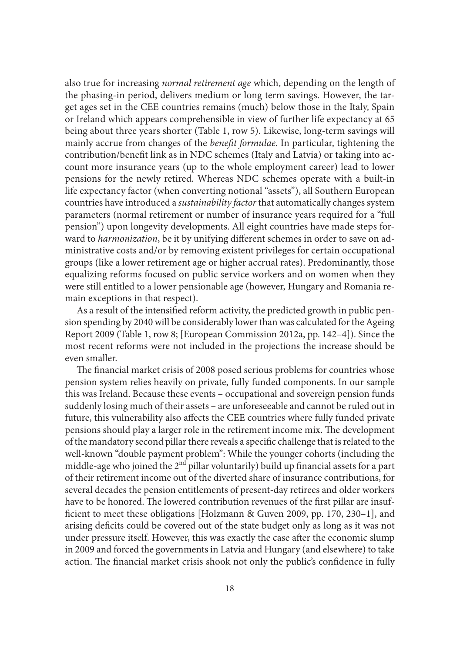also true for increasing *normal retirement age* which, depending on the length of the phasing-in period, delivers medium or long term savings. However, the target ages set in the CEE countries remains (much) below those in the Italy, Spain or Ireland which appears comprehensible in view of further life expectancy at 65 being about three years shorter (Table 1, row 5). Likewise, long-term savings will mainly accrue from changes of the *benefit formulae*. In particular, tightening the contribution/benefit link as in NDC schemes (Italy and Latvia) or taking into account more insurance years (up to the whole employment career) lead to lower pensions for the newly retired. Whereas NDC schemes operate with a built-in life expectancy factor (when converting notional "assets"), all Southern European countries have introduced a *sustainability factor* that automatically changes system parameters (normal retirement or number of insurance years required for a "full pension") upon longevity developments. All eight countries have made steps forward to *harmonization*, be it by unifying different schemes in order to save on administrative costs and/or by removing existent privileges for certain occupational groups (like a lower retirement age or higher accrual rates). Predominantly, those equalizing reforms focused on public service workers and on women when they were still entitled to a lower pensionable age (however, Hungary and Romania remain exceptions in that respect).

As a result of the intensified reform activity, the predicted growth in public pension spending by 2040 will be considerably lower than was calculated for the Ageing Report 2009 (Table 1, row 8; [European Commission 2012a, pp. 142–4]). Since the most recent reforms were not included in the projections the increase should be even smaller.

The financial market crisis of 2008 posed serious problems for countries whose pension system relies heavily on private, fully funded components. In our sample this was Ireland. Because these events – occupational and sovereign pension funds suddenly losing much of their assets – are unforeseeable and cannot be ruled out in future, this vulnerability also affects the CEE countries where fully funded private pensions should play a larger role in the retirement income mix. The development of the mandatory second pillar there reveals a specific challenge that is related to the well-known "double payment problem": While the younger cohorts (including the middle-age who joined the  $2<sup>nd</sup>$  pillar voluntarily) build up financial assets for a part of their retirement income out of the diverted share of insurance contributions, for several decades the pension entitlements of present-day retirees and older workers have to be honored. The lowered contribution revenues of the first pillar are insufficient to meet these obligations [Holzmann & Guven 2009, pp. 170, 230-1], and arising deficits could be covered out of the state budget only as long as it was not under pressure itself. However, this was exactly the case after the economic slump in 2009 and forced the governments in Latvia and Hungary (and elsewhere) to take action. The financial market crisis shook not only the public's confidence in fully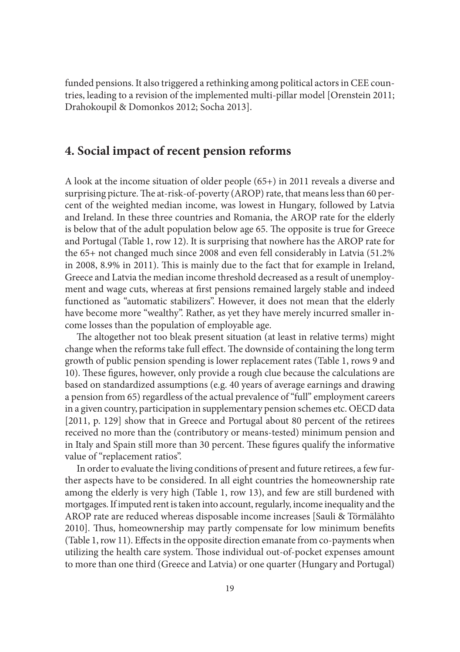funded pensions. It also triggered a rethinking among political actors in CEE countries, leading to a revision of the implemented multi-pillar model [Orenstein 2011; Drahokoupil & Domonkos 2012; Socha 2013].

## **4. Social impact of recent pension reforms**

A look at the income situation of older people (65+) in 2011 reveals a diverse and surprising picture. The at-risk-of-poverty (AROP) rate, that means less than 60 percent of the weighted median income, was lowest in Hungary, followed by Latvia and Ireland. In these three countries and Romania, the AROP rate for the elderly is below that of the adult population below age 65. The opposite is true for Greece and Portugal (Table 1, row 12). It is surprising that nowhere has the AROP rate for the 65+ not changed much since 2008 and even fell considerably in Latvia (51.2% in 2008, 8.9% in 2011). This is mainly due to the fact that for example in Ireland, Greece and Latvia the median income threshold decreased as a result of unemployment and wage cuts, whereas at first pensions remained largely stable and indeed functioned as "automatic stabilizers". However, it does not mean that the elderly have become more "wealthy". Rather, as yet they have merely incurred smaller income losses than the population of employable age.

The altogether not too bleak present situation (at least in relative terms) might change when the reforms take full effect. The downside of containing the long term growth of public pension spending is lower replacement rates (Table 1, rows 9 and 10). These figures, however, only provide a rough clue because the calculations are based on standardized assumptions (e.g. 40 years of average earnings and drawing a pension from 65) regardless of the actual prevalence of "full" employment careers in a given country, participation in supplementary pension schemes etc. OECD data [2011, p. 129] show that in Greece and Portugal about 80 percent of the retirees received no more than the (contributory or means-tested) minimum pension and in Italy and Spain still more than 30 percent. These figures qualify the informative value of "replacement ratios".

In order to evaluate the living conditions of present and future retirees, a few further aspects have to be considered. In all eight countries the homeownership rate among the elderly is very high (Table 1, row 13), and few are still burdened with mortgages. If imputed rent is taken into account, regularly, income inequality and the AROP rate are reduced whereas disposable income increases [Sauli & Törmälähto 2010]. Thus, homeownership may partly compensate for low minimum benefits (Table 1, row 11). Effects in the opposite direction emanate from  $co$ -payments when utilizing the health care system. Those individual out-of-pocket expenses amount to more than one third (Greece and Latvia) or one quarter (Hungary and Portugal)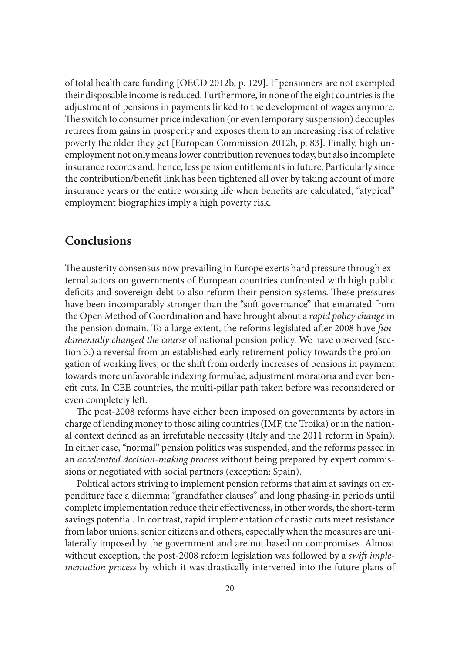of total health care funding [OECD 2012b, p. 129]. If pensioners are not exempted their disposable income is reduced. Furthermore, in none of the eight countries is the adjustment of pensions in payments linked to the development of wages anymore. The switch to consumer price indexation (or even temporary suspension) decouples retirees from gains in prosperity and exposes them to an increasing risk of relative poverty the older they get [European Commission 2012b, p. 83]. Finally, high unemployment not only means lower contribution revenues today, but also incomplete insurance records and, hence, less pension entitlements in future. Particularly since the contribution/benefit link has been tightened all over by taking account of more insurance years or the entire working life when benefits are calculated, "atypical" employment biographies imply a high poverty risk.

## **Conclusions**

The austerity consensus now prevailing in Europe exerts hard pressure through external actors on governments of European countries confronted with high public deficits and sovereign debt to also reform their pension systems. These pressures have been incomparably stronger than the "soft governance" that emanated from the Open Method of Coordination and have brought about a *rapid policy change* in the pension domain. To a large extent, the reforms legislated after 2008 have *fundamentally changed the course* of national pension policy. We have observed (section 3.) a reversal from an established early retirement policy towards the prolongation of working lives, or the shift from orderly increases of pensions in payment towards more unfavorable indexing formulae, adjustment moratoria and even benefit cuts. In CEE countries, the multi-pillar path taken before was reconsidered or even completely left.

The post-2008 reforms have either been imposed on governments by actors in charge of lending money to those ailing countries (IMF, the Troika) or in the national context defined as an irrefutable necessity (Italy and the 2011 reform in Spain). In either case, "normal" pension politics was suspended, and the reforms passed in an *accelerated decision-making process* without being prepared by expert commissions or negotiated with social partners (exception: Spain).

Political actors striving to implement pension reforms that aim at savings on expenditure face a dilemma: "grandfather clauses" and long phasing-in periods until complete implementation reduce their effectiveness, in other words, the short-term savings potential. In contrast, rapid implementation of drastic cuts meet resistance from labor unions, senior citizens and others, especially when the measures are unilaterally imposed by the government and are not based on compromises. Almost without exception, the post-2008 reform legislation was followed by a *swift implementation process* by which it was drastically intervened into the future plans of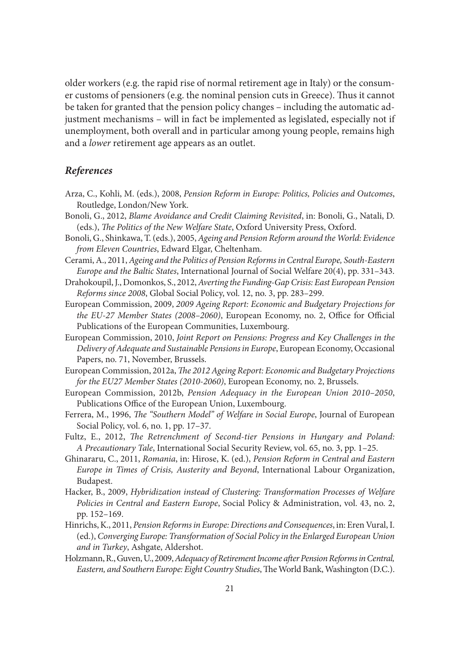older workers (e.g. the rapid rise of normal retirement age in Italy) or the consumer customs of pensioners (e.g. the nominal pension cuts in Greece). Thus it cannot be taken for granted that the pension policy changes – including the automatic adjustment mechanisms – will in fact be implemented as legislated, especially not if unemployment, both overall and in particular among young people, remains high and a *lower* retirement age appears as an outlet.

### *References*

- Arza, C., Kohli, M. (eds.), 2008, *Pension Reform in Europe: Politics, Policies and Outcomes*, Routledge, London/New York.
- Bonoli, G., 2012, *Blame Avoidance and Credit Claiming Revisited*, in: Bonoli, G., Natali, D. (eds.), *The Politics of the New Welfare State*, Oxford University Press, Oxford.
- Bonoli, G., Shinkawa, T. (eds.), 2005, *Ageing and Pension Reform around the World: Evidence from Eleven Countries*, Edward Elgar, Cheltenham.
- Cerami, A., 2011, *Ageing and the Politics of Pension Reforms in Central Europe, South-Eastern Europe and the Baltic States*, International Journal of Social Welfare 20(4), pp. 331–343.
- Drahokoupil, J., Domonkos, S., 2012, *Averting the Funding-Gap Crisis: East European Pension Reforms since 2008*, Global Social Policy, vol. 12, no. 3, pp. 283–299.
- European Commission, 2009, *2009 Ageing Report: Economic and Budgetary Projections for the EU-27 Member States (2008–2060)*, European Economy, no. 2, Office for Official Publications of the European Communities, Luxembourg.
- European Commission, 2010, *Joint Report on Pensions: Progress and Key Challenges in the Delivery of Adequate and Sustainable Pensions in Europe*, European Economy, Occasional Papers, no. 71, November, Brussels.
- European Commission, 2012a, *The 2012 Ageing Report: Economic and Budgetary Projections for the EU27 Member States (2010-2060)*, European Economy, no. 2, Brussels.
- European Commission, 2012b, *Pension Adequacy in the European Union 2010–2050*, Publications Office of the European Union, Luxembourg.
- Ferrera, M., 1996, *The "Southern Model" of Welfare in Social Europe*, Journal of European Social Policy, vol. 6, no. 1, pp. 17–37.
- Fultz, E., 2012, *The Retrenchment of Second-tier Pensions in Hungary and Poland: A Precautionary Tale*, International Social Security Review, vol. 65, no. 3, pp. 1–25.
- Ghinararu, C., 2011, *Romania*, in: Hirose, K. (ed.), *Pension Reform in Central and Eastern Europe in Times of Crisis, Austerity and Beyond*, International Labour Organization, Budapest.
- Hacker, B., 2009, *Hybridization instead of Clustering: Transformation Processes of Welfare Policies in Central and Eastern Europe*, Social Policy & Administration, vol. 43, no. 2, pp. 152–169.
- Hinrichs, K., 2011, *Pension Reforms in Europe: Directions and Consequences*, in: Eren Vural, I. (ed.), *Converging Europe: Transformation of Social Policy in the Enlarged European Union and in Turkey*, Ashgate, Aldershot.
- Holzmann, R., Guven, U., 2009, *Adequacy of Retirement Income after Pension Reforms in Central*, *Eastern, and Southern Europe: Eight Country Studies*, The World Bank, Washington (D.C.).